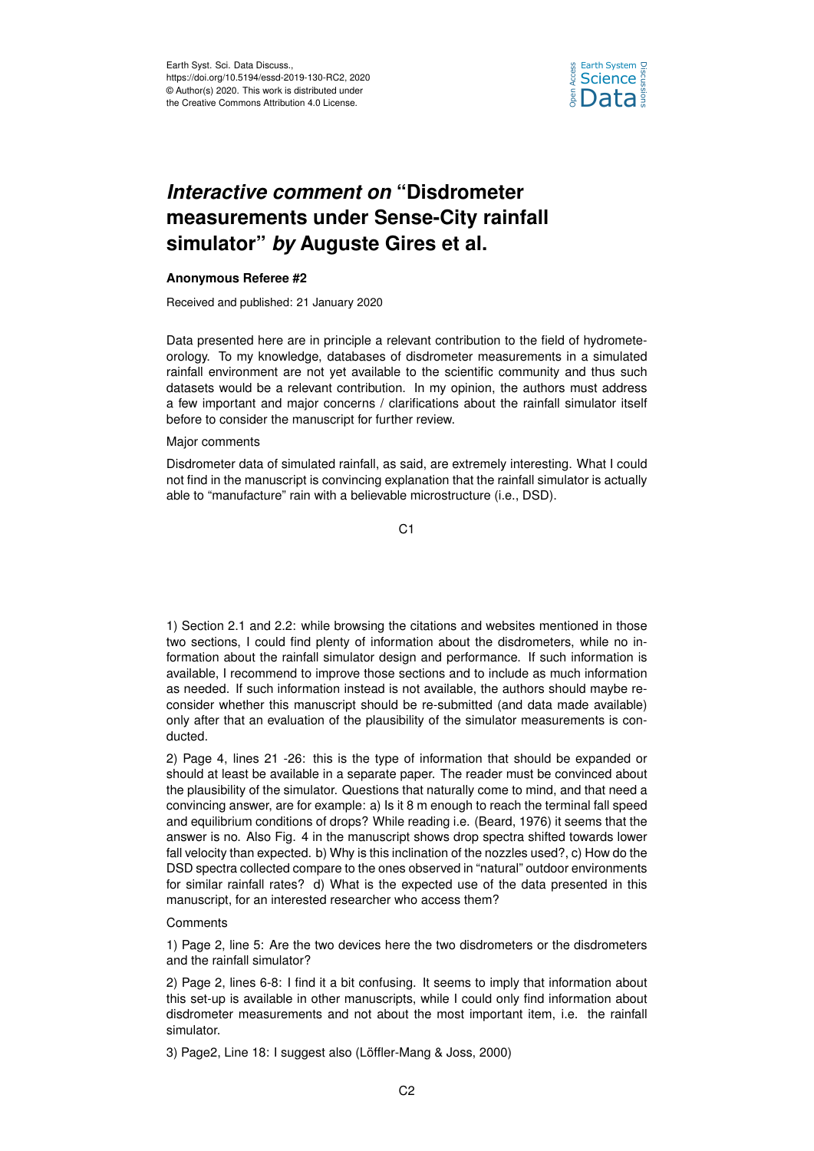

## *Interactive comment on* **"Disdrometer measurements under Sense-City rainfall simulator"** *by* **Auguste Gires et al.**

## **Anonymous Referee #2**

Received and published: 21 January 2020

Data presented here are in principle a relevant contribution to the field of hydrometeorology. To my knowledge, databases of disdrometer measurements in a simulated rainfall environment are not yet available to the scientific community and thus such datasets would be a relevant contribution. In my opinion, the authors must address a few important and major concerns / clarifications about the rainfall simulator itself before to consider the manuscript for further review.

## Major comments

Disdrometer data of simulated rainfall, as said, are extremely interesting. What I could not find in the manuscript is convincing explanation that the rainfall simulator is actually able to "manufacture" rain with a believable microstructure (i.e., DSD).

C<sub>1</sub>

1) Section 2.1 and 2.2: while browsing the citations and websites mentioned in those two sections, I could find plenty of information about the disdrometers, while no information about the rainfall simulator design and performance. If such information is available, I recommend to improve those sections and to include as much information as needed. If such information instead is not available, the authors should maybe reconsider whether this manuscript should be re-submitted (and data made available) only after that an evaluation of the plausibility of the simulator measurements is conducted.

2) Page 4, lines 21 -26: this is the type of information that should be expanded or should at least be available in a separate paper. The reader must be convinced about the plausibility of the simulator. Questions that naturally come to mind, and that need a convincing answer, are for example: a) Is it 8 m enough to reach the terminal fall speed and equilibrium conditions of drops? While reading i.e. (Beard, 1976) it seems that the answer is no. Also Fig. 4 in the manuscript shows drop spectra shifted towards lower fall velocity than expected. b) Why is this inclination of the nozzles used?, c) How do the DSD spectra collected compare to the ones observed in "natural" outdoor environments for similar rainfall rates? d) What is the expected use of the data presented in this manuscript, for an interested researcher who access them?

## **Comments**

1) Page 2, line 5: Are the two devices here the two disdrometers or the disdrometers and the rainfall simulator?

2) Page 2, lines 6-8: I find it a bit confusing. It seems to imply that information about this set-up is available in other manuscripts, while I could only find information about disdrometer measurements and not about the most important item, i.e. the rainfall simulator.

3) Page2, Line 18: I suggest also (Löffler-Mang & Joss, 2000)